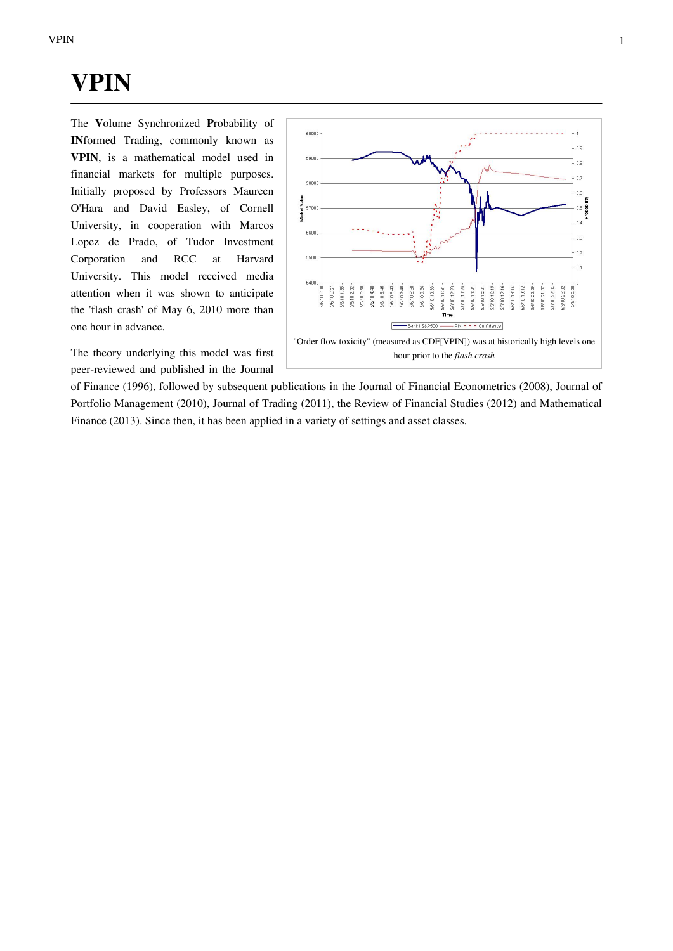# **VPIN**

The **V**olume Synchronized **P**robability of **IN**formed Trading, commonly known as **VPIN**, is a mathematical model used in [financial markets](https://en.wikipedia.org/w/index.php?title=Financial_markets) for multiple purposes. Initially proposed by Professors [Maureen](https://en.wikipedia.org/w/index.php?title=Maureen_O%27Hara_%28professor%29) [O'Hara](https://en.wikipedia.org/w/index.php?title=Maureen_O%27Hara_%28professor%29) and [David Easley](https://en.wikipedia.org/w/index.php?title=David_Easley), of [Corne](https://en.wikipedia.org/w/index.php?title=Cornell_University)ll [University,](https://en.wikipedia.org/w/index.php?title=Cornell_University) in cooperation with [Marco](https://en.wikipedia.org/w/index.php?title=Marcos_Lopez_de_Prado)s [Lopez de Prado](https://en.wikipedia.org/w/index.php?title=Marcos_Lopez_de_Prado), of [Tudor Investmen](https://en.wikipedia.org/w/index.php?title=Paul_Tudor_Jones)t [Corporation](https://en.wikipedia.org/w/index.php?title=Paul_Tudor_Jones) and [RCC](https://en.wikipedia.org/w/index.php?title=Real_Colegio_Complutense) at [Harva](https://en.wikipedia.org/w/index.php?title=Harvard_University)rd [University.](https://en.wikipedia.org/w/index.php?title=Harvard_University) This model received media attention when it was shown to anticipate the '[flash crash](https://en.wikipedia.org/w/index.php?title=2010_Flash_Crash)' of May 6, 2010 more than one hour in advance.

The theory underlying this model was first peer-reviewed and published in the [Journal](https://en.wikipedia.org/w/index.php?title=Journal_of_Finance)



[of Finance \(](https://en.wikipedia.org/w/index.php?title=Journal_of_Finance)1996), followed by subsequent publications in the [Journal of Financial Econometrics \(](https://en.wikipedia.org/w/index.php?title=Journal_of_Financial_Econometrics)2008), [Journal of](https://en.wikipedia.org/w/index.php?title=Journal_of_Portfolio_Management) [Portfolio Management](https://en.wikipedia.org/w/index.php?title=Journal_of_Portfolio_Management) (2010), [Journal of Trading](https://en.wikipedia.org/w/index.php?title=Journal_of_Trading) (2011), the [Review of Financial Studies \(](https://en.wikipedia.org/w/index.php?title=Review_of_Financial_Studies)2012) and Mathematical Finance (2013). Since then, it has been applied in a variety of settings and asset classes.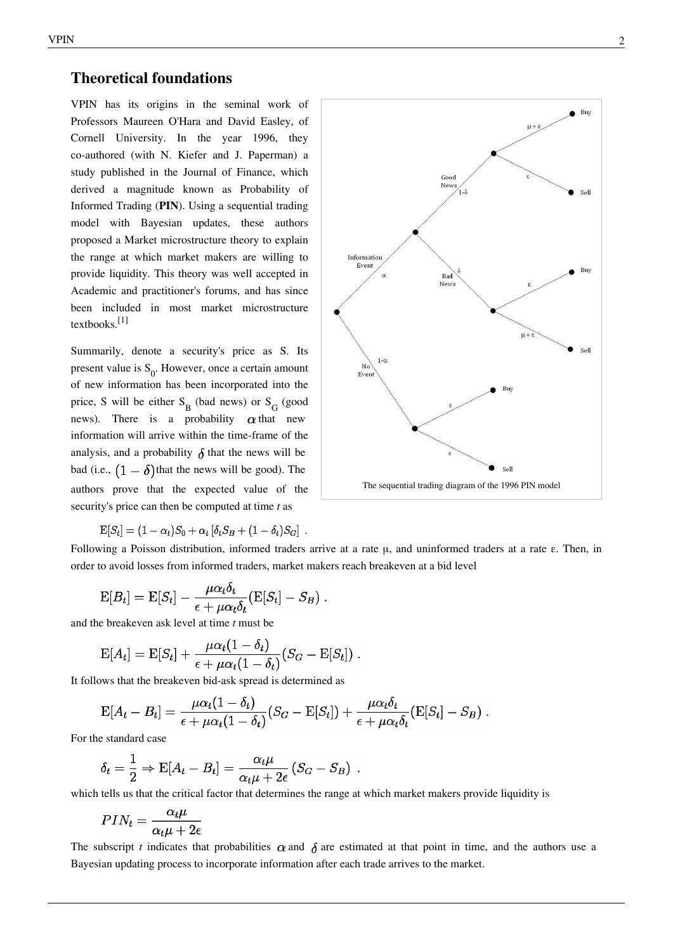### **Theoretical foundations**

VPIN has its origins in the seminal work of Professors [Maureen O'Hara](https://en.wikipedia.org/w/index.php?title=Maureen_O%27Hara_%28professor%29) and [David Easley](https://en.wikipedia.org/w/index.php?title=David_Easley), of [Cornell University.](https://en.wikipedia.org/w/index.php?title=Cornell_University) In the year 1996, they co-authored (with N. Kiefer and J. Paperman) a study published in the [Journal of Finance](https://en.wikipedia.org/w/index.php?title=Journal_of_Finance), which derived a magnitude known as Probability of Informed Trading (**PIN**). Using a sequential trading model with [Bayesian u](https://en.wikipedia.org/w/index.php?title=Bayesian)pdates, these authors proposed a [Market microstructure t](https://en.wikipedia.org/w/index.php?title=Market_microstructure)heory to explain the range at which market makers are willing to provide liquidity. This theory was well accepted in Academic and practitioner's forums, and has since been included in most [market microstructur](https://en.wikipedia.org/w/index.php?title=Market_microstructure)e textbooks.[1]

Summarily, denote a security's price as S. Its present value is  $S_0$ . However, once a certain amount of new information has been incorporated into the price, S will be either  $S_B$  (bad news) or  $S_G$  (good news). There is a probability  $\alpha$  that new information will arrive within the time-frame of the analysis, and a probability  $\delta$  that the news will be bad (i.e.,  $(1 - \delta)$ ) that the news will be good). The authors prove that the expected value of the security's price can then be computed at time *t* as

$$
\mathrm{E}[S_t] = (1 - \alpha_t)S_0 + \alpha_t [\delta_t S_B + (1 - \delta_t)S_G].
$$



Following a [Poisson distribution,](https://en.wikipedia.org/w/index.php?title=Poisson_distribution) informed traders arrive at a rate μ, and uninformed traders at a rate ε. Then, in order to avoid losses from informed traders, market makers reach [breakeven](https://en.wikipedia.org/w/index.php?title=Breakeven) at a bid level

$$
\mathrm{E}[B_t] = \mathrm{E}[S_t] - \frac{\mu \alpha_t \delta_t}{\epsilon + \mu \alpha_t \delta_t} (\mathrm{E}[S_t] - S_B) .
$$

and the [breakeven a](https://en.wikipedia.org/w/index.php?title=Breakeven)sk level at time *t* must be

$$
\mathrm{E}[A_t] = \mathrm{E}[S_t] + \frac{\mu \alpha_t (1 - \delta_t)}{\epsilon + \mu \alpha_t (1 - \delta_t)} (S_G - \mathrm{E}[S_t]).
$$

It follows that the [breakeven b](https://en.wikipedia.org/w/index.php?title=Breakeven)id-ask spread is determined as

$$
E[A_t - B_t] = \frac{\mu \alpha_t (1 - \delta_t)}{\epsilon + \mu \alpha_t (1 - \delta_t)} (S_G - E[S_t]) + \frac{\mu \alpha_t \delta_t}{\epsilon + \mu \alpha_t \delta_t} (E[S_t] - S_B) .
$$

For the standard case

$$
\delta_t = \frac{1}{2} \Rightarrow \mathrm{E}[A_t - B_t] = \frac{\alpha_t \mu}{\alpha_t \mu + 2\epsilon} (S_G - S_B)
$$

which tells us that the critical factor that determines the range at which [market makers](https://en.wikipedia.org/w/index.php?title=Market_makers) provide liquidity is

$$
PIN_t = \frac{\alpha_t \mu}{\alpha_t \mu + 2\epsilon}
$$

The subscript *t* indicates that probabilities  $\alpha$  and  $\delta$  are estimated at that point in time, and the authors use a [Bayesian u](https://en.wikipedia.org/w/index.php?title=Bayesian_probability)pdating process to incorporate information after each trade arrives to the market.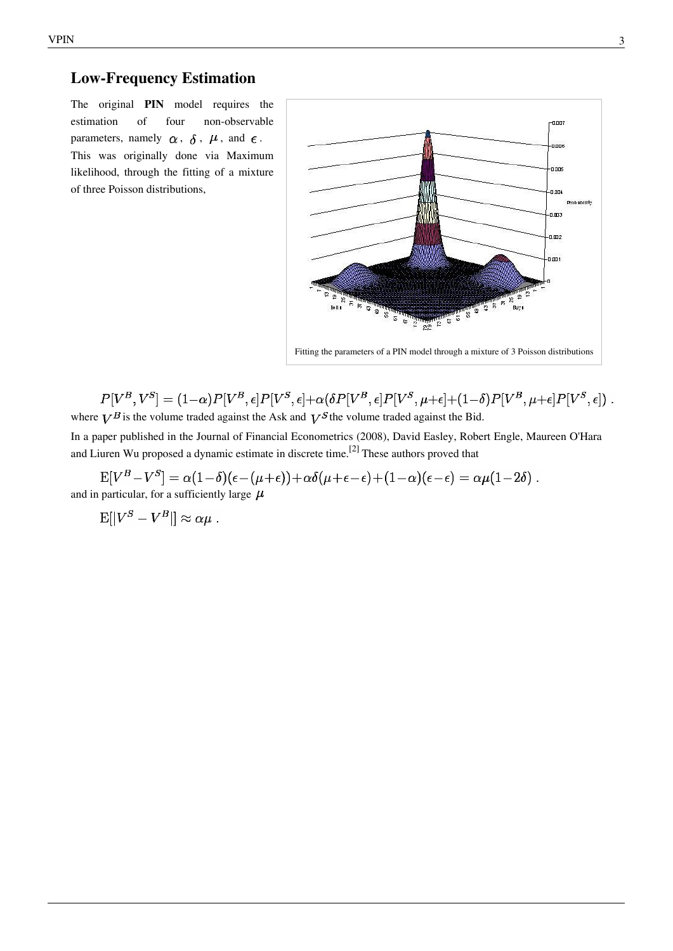## **Low-Frequency Estimation**

The original **PIN** model requires the estimation of four non-observable parameters, namely  $\alpha$ ,  $\delta$ ,  $\mu$ , and  $\epsilon$ . This was originally done via [Maximum](https://en.wikipedia.org/w/index.php?title=Maximum_likelihood) [likelihood](https://en.wikipedia.org/w/index.php?title=Maximum_likelihood), through the fitting of a mixture of three [Poisson distributions](https://en.wikipedia.org/w/index.php?title=Poisson_distribution),



 $P[V^B,V^S] = (1-\alpha) P[V^B,\epsilon] P[V^S,\epsilon] + \alpha (\delta P[V^B,\epsilon] P[V^S,\mu+\epsilon] + (1-\delta) P[V^B,\mu+\epsilon] P[V^S,\epsilon]) \ .$ where  $V^B$  is the volume traded against the Ask and  $V^S$  the volume traded against the Bid.

In a paper published in the [Journal of Financial Econometrics](https://en.wikipedia.org/w/index.php?title=Journal_of_Financial_Econometrics) (2008), [David Easley](https://en.wikipedia.org/w/index.php?title=David_Easley), [Robert Engle](https://en.wikipedia.org/w/index.php?title=Robert_Engle), [Maureen O'Hara](https://en.wikipedia.org/w/index.php?title=Maureen_O%27Hara) and Liuren Wu proposed a dynamic estimate in discrete time.<sup>[2]</sup> These authors proved that

 $E[V^B - V^S] = \alpha(1-\delta)(\epsilon - (\mu + \epsilon)) + \alpha\delta(\mu + \epsilon - \epsilon) + (1-\alpha)(\epsilon - \epsilon) = \alpha\mu(1-2\delta).$ and in particular, for a sufficiently large  $\mu$ 

 $\mathbb{E}[|V^S - V^B|] \approx \alpha \mu$ .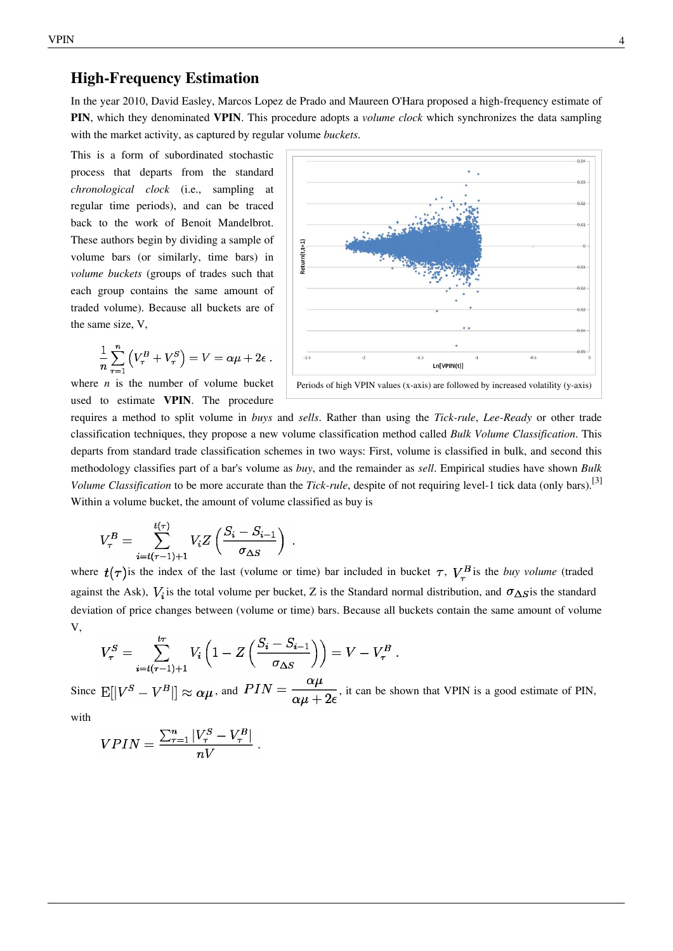### **High-Frequency Estimation**

In the year 2010, [David Easley,](https://en.wikipedia.org/w/index.php?title=David_Easley) [Marcos Lopez de Prado](https://en.wikipedia.org/w/index.php?title=Marcos_Lopez_de_Prado) and [Maureen O'Hara p](https://en.wikipedia.org/w/index.php?title=Maureen_O%27Hara_%28professor%29)roposed a high-frequency estimate of **PIN**, which they denominated **VPIN**. This procedure adopts a *volume clock* which synchronizes the data sampling with the market activity, as captured by regular volume *buckets*.

This is a form of subordinated stochastic process that departs from the standard *chronological clock* (i.e., sampling at regular time periods), and can be traced back to the work of [Benoit Mandelbrot.](https://en.wikipedia.org/w/index.php?title=Benoit_Mandelbrot) These authors begin by dividing a sample of volume bars (or similarly, time bars) in *volume buckets* (groups of trades such that each group contains the same amount of traded volume). Because all buckets are of the same size, V,

$$
\frac{1}{n}\sum_{\tau=1}^n \left(V_{\tau}^B + V_{\tau}^S\right) = V = \alpha\mu + 2\epsilon.
$$

where  $n$  is the number of volume bucket used to estimate **VPIN**. The procedure



requires a method to split volume in *buys* and *sells*. Rather than using the *Tick-rule*, *Lee-Ready* or other trade classification techniques, they propose a new volume classification method called *Bulk Volume Classification*. This departs from standard trade classification schemes in two ways: First, volume is classified in bulk, and second this methodology classifies part of a bar's volume as *buy*, and the remainder as *sell*. Empirical studies have shown *Bulk Volume Classification* to be more accurate than the *Tick-rule*, despite of not requiring level-1 tick data (only bars).<sup>[3]</sup> Within a volume bucket, the amount of volume classified as buy is

$$
V_{\tau}^{B} = \sum_{i=t(\tau-1)+1}^{t(\tau)} V_{i} Z\left(\frac{S_{i} - S_{i-1}}{\sigma_{\Delta S}}\right)
$$

where  $t(\tau)$  is the index of the last (volume or time) bar included in bucket  $\tau$ ,  $V_{\tau}^{B}$  is the *buy volume* (traded against the Ask),  $V_i$  is the total volume per bucket, Z is the [Standard normal distribution,](https://en.wikipedia.org/w/index.php?title=Standard_normal_distribution) and  $\sigma_{\Delta S}$  is the standard deviation of price changes between (volume or time) bars. Because all buckets contain the same amount of volume V,

$$
V_{\tau}^{S} = \sum_{i=t(\tau-1)+1}^{t\tau} V_i \left( 1 - Z \left( \frac{S_i - S_{i-1}}{\sigma_{\Delta S}} \right) \right) = V - V_{\tau}^{B}.
$$

Since  $\mathbb{E}[|V^S - V^B|] \approx \alpha \mu$ , and  $PIN = \frac{\alpha \mu}{\alpha \mu + 2\epsilon}$ , it can be shown that VPIN is a good estimate of PIN,

with

$$
VPIN = \frac{\sum_{\tau=1}^{n} |V_{\tau}^{S} - V_{\tau}^{B}|}{nV}
$$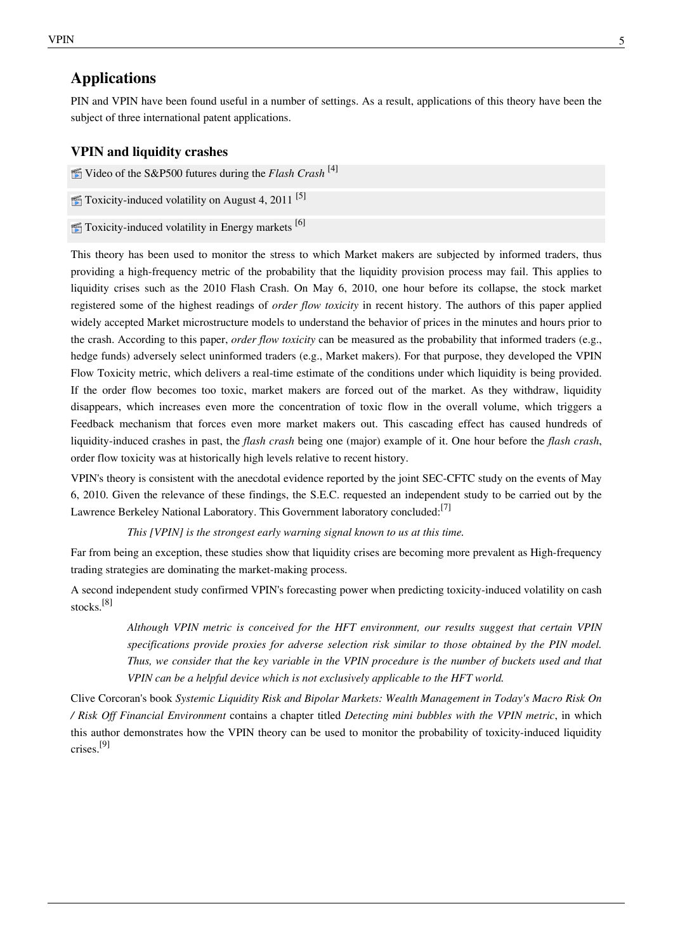### **Applications**

PIN and VPIN have been found useful in a number of settings. As a result, applications of this theory have been the subject of three international patent applications.

#### **VPIN and liquidity crashes**

- Video of the S&P500 futures during the *Flash Crash* [\[4\]](http://www.youtube.com/watch?v=IngpJ18AhWU)
- $\mathcal{F}$  Toxicity-induced volatility on August 4, 2011<sup>[\[5\]](http://www.youtube.com/watch?v=0vPMZXGHMpc)</sup>
- $\blacksquare$  Toxicity-induced volatility in Energy markets [\[6\]](http://www.youtube.com/watch?v=ifW-apeHeI0)

This theory has been used to monitor the stress to which [Market makers](https://en.wikipedia.org/w/index.php?title=Market_maker) are subjected by informed traders, thus providing a high-frequency metric of the probability that the liquidity provision process may fail. This applies to liquidity crises such as the [2010 Flash Crash.](https://en.wikipedia.org/w/index.php?title=2010_Flash_Crash) On May 6, 2010, one hour before its collapse, the stock market registered some of the highest readings of *order flow toxicity* in recent history. The authors of this paper applied widely accepted [Market microstructure m](https://en.wikipedia.org/w/index.php?title=Market_microstructure)odels to understand the behavior of prices in the minutes and hours prior to the crash. According to this [paper](https://en.wikipedia.org/w/index.php?title=Scholarly_paper), *order flow toxicity* can be measured as the probability that informed traders (e.g., [hedge funds\)](https://en.wikipedia.org/w/index.php?title=Hedge_funds) [adversely select](https://en.wikipedia.org/w/index.php?title=Adverse_selection) uninformed traders (e.g., [Market maker](https://en.wikipedia.org/w/index.php?title=Market_maker)s). For that purpose, they developed the VPIN Flow Toxicity metric, which delivers a real-time estimate of the conditions under which liquidity is being provided. If the order flow becomes too toxic, market makers are forced out of the market. As they withdraw, liquidity disappears, which increases even more the concentration of toxic flow in the overall volume, which triggers a [Feedback mechanism t](https://en.wikipedia.org/w/index.php?title=Feedback_mechanism)hat forces even more market makers out. This cascading effect has caused hundreds of liquidity-induced crashes in past, the *flash crash* being one (major) example of it. One hour before the *flash crash*, order flow toxicity was at historically high levels relative to recent history.

VPIN's theory is consistent with the anecdotal evidence reported by the joint SEC-CFTC study on the events of May 6, 2010. Given the relevance of these findings, the [S.E.C. r](https://en.wikipedia.org/w/index.php?title=S.E.C.)equested an independent study to be carried out by the [Lawrence Berkeley National Laboratory.](https://en.wikipedia.org/w/index.php?title=Lawrence_Berkeley_National_Laboratory) This Government laboratory concluded:<sup>[7]</sup>

*This [VPIN] is the strongest early warning signal known to us at this time.*

Far from being an exception, these studies show that liquidity crises are becoming more prevalent as [High-frequency](https://en.wikipedia.org/w/index.php?title=High-frequency_trading) [trading s](https://en.wikipedia.org/w/index.php?title=High-frequency_trading)trategies are dominating the market-making process.

A second independent study confirmed VPIN's forecasting power when predicting toxicity-induced volatility on cash stocks.[8]

> *Although VPIN metric is conceived for the HFT environment, our results suggest that certain VPIN specifications provide proxies for adverse selection risk similar to those obtained by the PIN model. Thus, we consider that the key variable in the VPIN procedure is the number of buckets used and that VPIN can be a helpful device which is not exclusively applicable to the HFT world.*

Clive Corcoran's book *Systemic Liquidity Risk and Bipolar Markets: Wealth Management in Today's Macro Risk On / Risk Off Financial Environment* contains a chapter titled *Detecting mini bubbles with the VPIN metric*, in which this author demonstrates how the VPIN theory can be used to monitor the probability of toxicity-induced liquidity crises.[9]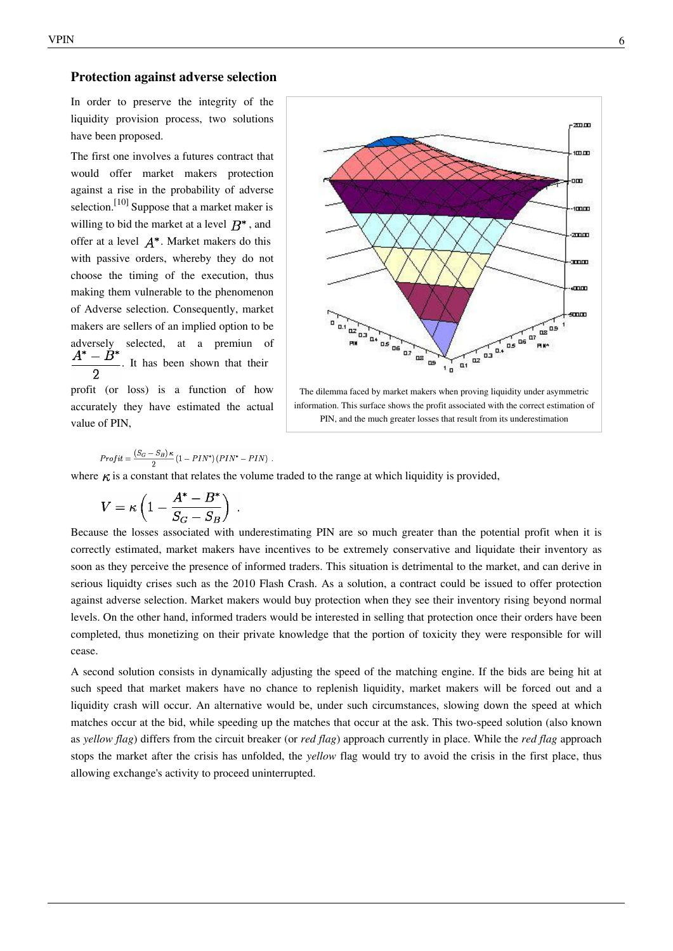#### **Protection against adverse selection**

In order to preserve the integrity of the liquidity provision process, two solutions have been proposed.

The first one involves a futures contract that would offer market makers protection against a rise in the probability of adverse selection.<sup>[10]</sup> Suppose that a market maker is willing to bid the market at a level  $B^*$ , and offer at a level  $A^*$ . Market makers do this with passive orders, whereby they do not choose the timing of the execution, thus making them vulnerable to the phenomenon of [Adverse selection](https://en.wikipedia.org/w/index.php?title=Adverse_selection). Consequently, market makers are sellers of an implied option to be adversely selected, at a premiun of  $A^*-B$ . It has been shown that their  $\overline{2}$ profit (or loss) is a function of how

accurately they have estimated the actual value of PIN,

$$
(S_G - S_B) \kappa_{(1 - DI^* \land (DI^*)^* \land DIM^*)}
$$

 $Profit = \frac{(5G - 5B)^{R}}{2}(1 - PIN^{*})(PIN^{*} - PIN)$ . where  $\kappa$  is a constant that relates the volume traded to the range at which liquidity is provided,

$$
V = \kappa \left( 1 - \frac{A^* - B^*}{S_G - S_B} \right)
$$

Because the losses associated with underestimating PIN are so much greater than the potential profit when it is correctly estimated, market makers have incentives to be extremely conservative and liquidate their inventory as soon as they perceive the presence of informed traders. This situation is detrimental to the market, and can derive in serious liquidty crises such as the [2010 Flash Crash](https://en.wikipedia.org/w/index.php?title=2010_Flash_Crash). As a solution, a contract could be issued to offer protection against adverse selection. Market makers would buy protection when they see their inventory rising beyond normal levels. On the other hand, informed traders would be interested in selling that protection once their orders have been completed, thus monetizing on their private knowledge that the portion of toxicity they were responsible for will cease.

A second solution consists in dynamically adjusting the speed of the matching engine. If the bids are being hit at such speed that market makers have no chance to replenish liquidity, market makers will be forced out and a liquidity crash will occur. An alternative would be, under such circumstances, slowing down the speed at which matches occur at the bid, while speeding up the matches that occur at the ask. This two-speed solution (also known as *yellow flag*) differs from the [circuit breaker \(](https://en.wikipedia.org/w/index.php?title=Circuit_breaker)or *red flag*) approach currently in place. While the *red flag* approach stops the market after the crisis has unfolded, the *yellow* flag would try to avoid the crisis in the first place, thus allowing exchange's activity to proceed uninterrupted.



The dilemma faced by market makers when proving liquidity under asymmetric information. This surface shows the profit associated with the correct estimation of PIN, and the much greater losses that result from its underestimation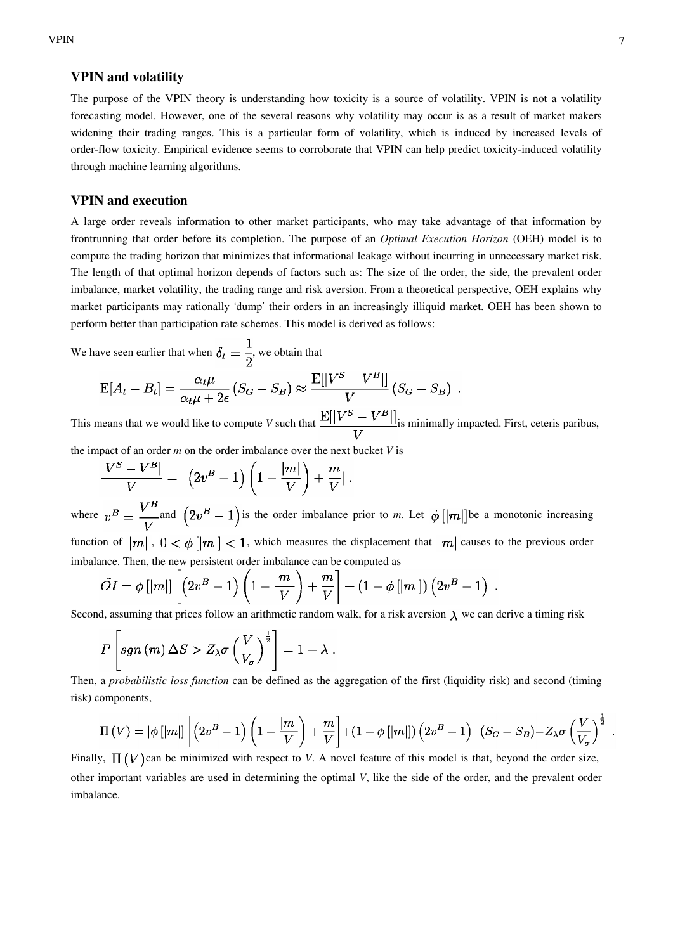#### **VPIN and volatility**

The purpose of the VPIN theory is understanding how toxicity is a source of volatility. VPIN is not a volatility forecasting model. However, one of the several reasons why volatility may occur is as a result of market makers widening their trading ranges. This is a particular form of volatility, which is induced by increased levels of order-flow toxicity. Empirical evidence seems to corroborate that VPIN can help predict toxicity-induced volatility through machine learning algorithms.

#### **VPIN and execution**

A large order reveals information to other market participants, who may take advantage of that information by [frontrunning](https://en.wikipedia.org/w/index.php?title=Frontrunning) that order before its completion. The purpose of an *Optimal Execution Horizon* (OEH) model is to compute the trading horizon that minimizes that informational leakage without incurring in unnecessary market risk. The length of that optimal horizon depends of factors such as: The size of the order, the side, the prevalent order imbalance, market volatility, the trading range and risk aversion. From a theoretical perspective, OEH explains why market participants may rationally 'dump' their orders in an increasingly illiquid market. OEH has been shown to perform better than participation rate schemes. This model is derived as follows:

We have seen earlier that when  $\delta_t = \frac{1}{2}$ , we obtain that

$$
E[A_t - B_t] = \frac{\alpha_t \mu}{\alpha_t \mu + 2\epsilon} (S_G - S_B) \approx \frac{E[|V^S - V^B|]}{V} (S_G - S_B).
$$

This means that we would like to compute *V* such that  $\frac{E[|V^S - V^B|]}{V}$  is minimally impacted. First, [ceteris paribus,](https://en.wikipedia.org/w/index.php?title=Ceteris_paribus)

the impact of an order *m* on the order imbalance over the next bucket *V* is

$$
\frac{|V^S - V^B|}{V} = \left| \left(2v^B - 1\right)\left(1 - \frac{|m|}{V}\right) + \frac{m}{V} \right|.
$$

where  $v^B = \frac{V^B}{V}$  and  $(2v^B - 1)$  is the order imbalance prior to *m*. Let  $\phi$  [|m|] be a monotonic increasing function of  $|m|$ ,  $0 < \phi |m| < 1$ , which measures the displacement that  $|m|$  causes to the previous order imbalance. Then, the new persistent order imbalance can be computed as

$$
\tilde{OI} = \phi\left[ \left| m \right| \right] \left[ \left( 2v^B - 1 \right) \left( 1 - \frac{\left| m \right|}{V} \right) + \frac{m}{V} \right] + \left( 1 - \phi\left[ \left| m \right| \right] \right) \left( 2v^B - 1 \right)
$$

Second, assuming that prices follow an arithmetic random walk, for a risk aversion  $\lambda$  we can derive a timing risk

$$
P\left[sgn\left(m\right)\Delta S > Z_{\lambda}\sigma\left(\frac{V}{V_{\sigma}}\right)^{\frac{1}{2}}\right] = 1 - \lambda
$$

Then, a *probabilistic loss function* can be defined as the aggregation of the first (liquidity risk) and second (timing risk) components,

$$
\Pi(V) = |\phi[|m|] \left[ \left( 2v^B - 1 \right) \left( 1 - \frac{|m|}{V} \right) + \frac{m}{V} \right] + \left( 1 - \phi[|m|] \right) \left( 2v^B - 1 \right) \left| \left( S_G - S_B \right) - Z_\lambda \sigma \left( \frac{V}{V_\sigma} \right)^{\frac{1}{2}} \right]
$$

Finally,  $\Pi(V)$  can be minimized with respect to *V*. A novel feature of this model is that, beyond the order size, other important variables are used in determining the optimal *V*, like the side of the order, and the prevalent order imbalance.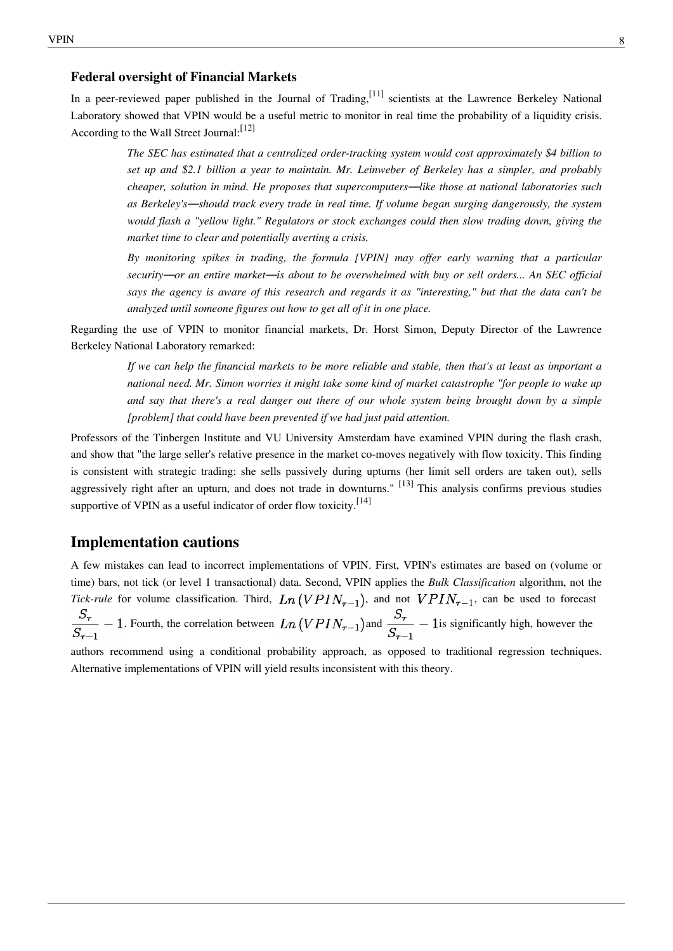#### **Federal oversight of Financial Markets**

In a peer-reviewed paper published in the [Journal of Trading,](https://en.wikipedia.org/w/index.php?title=Journal_of_Trading) <sup>[11]</sup> scientists at the [Lawrence Berkeley National](https://en.wikipedia.org/w/index.php?title=Lawrence_Berkeley_National_Laboratory) [Laboratory](https://en.wikipedia.org/w/index.php?title=Lawrence_Berkeley_National_Laboratory) showed that VPIN would be a useful metric to monitor in real time the probability of a liquidity crisis. According to the [Wall Street Journal:](https://en.wikipedia.org/w/index.php?title=Wall_Street_Journal)<sup>[12]</sup>

> *The SEC has estimated that a centralized order-tracking system would cost approximately \$4 billion to set up and \$2.1 billion a year to maintain. Mr. Leinweber of Berkeley has a simpler, and probably cheaper, solution in mind. He proposes that supercomputers*—*like those at national laboratories such as Berkeley's*—*should track every trade in real time. If volume began surging dangerously, the system would flash a "yellow light." Regulators or stock exchanges could then slow trading down, giving the market time to clear and potentially averting a crisis.*

> *By monitoring spikes in trading, the formula [VPIN] may offer early warning that a particular security*—*or an entire market*—*is about to be overwhelmed with buy or sell orders... An SEC official says the agency is aware of this research and regards it as "interesting," but that the data can't be analyzed until someone figures out how to get all of it in one place.*

Regarding the use of VPIN to monitor financial markets, Dr. [Horst Simon,](https://en.wikipedia.org/w/index.php?title=Horst_Simon) Deputy Director of the [Lawrence](https://en.wikipedia.org/w/index.php?title=Lawrence_Berkeley_National_Laboratory) [Berkeley National Laboratory](https://en.wikipedia.org/w/index.php?title=Lawrence_Berkeley_National_Laboratory) remarked:

> *If we can help the financial markets to be more reliable and stable, then that's at least as important a national need. Mr. Simon worries it might take some kind of market catastrophe "for people to wake up and say that there's a real danger out there of our whole system being brought down by a simple [problem] that could have been prevented if we had just paid attention.*

Professors of the [Tinbergen Institute a](https://en.wikipedia.org/w/index.php?title=Tinbergen_Institute)nd [VU University Amsterdam h](https://en.wikipedia.org/w/index.php?title=VU_University_Amsterdam)ave examined VPIN during the flash crash, and show that "the large seller's relative presence in the market co-moves negatively with flow toxicity. This finding is consistent with strategic trading: she sells passively during upturns (her limit sell orders are taken out), sells aggressively right after an upturn, and does not trade in downturns."  $[13]$  This analysis confirms previous studies supportive of VPIN as a useful indicator of order flow toxicity.<sup>[14]</sup>

### **Implementation cautions**

A few mistakes can lead to incorrect implementations of VPIN. First, VPIN's estimates are based on (volume or time) bars, not tick (or level 1 transactional) data. Second, VPIN applies the *Bulk Classification* algorithm, not the *Tick-rule* for volume classification. Third,  $Ln(VPIN_{\tau-1})$ , and not  $VPIN_{\tau-1}$ , can be used to forecast  $\frac{S_{\tau}}{S_{\tau-1}}$  – 1. Fourth, the correlation between  $Ln(VPIN_{\tau-1})$  and  $\frac{S_{\tau}}{S_{\tau-1}}$  – 1 is significantly high, however the

authors recommend using a conditional probability approach, as opposed to traditional regression techniques. Alternative implementations of VPIN will yield results inconsistent with this theory.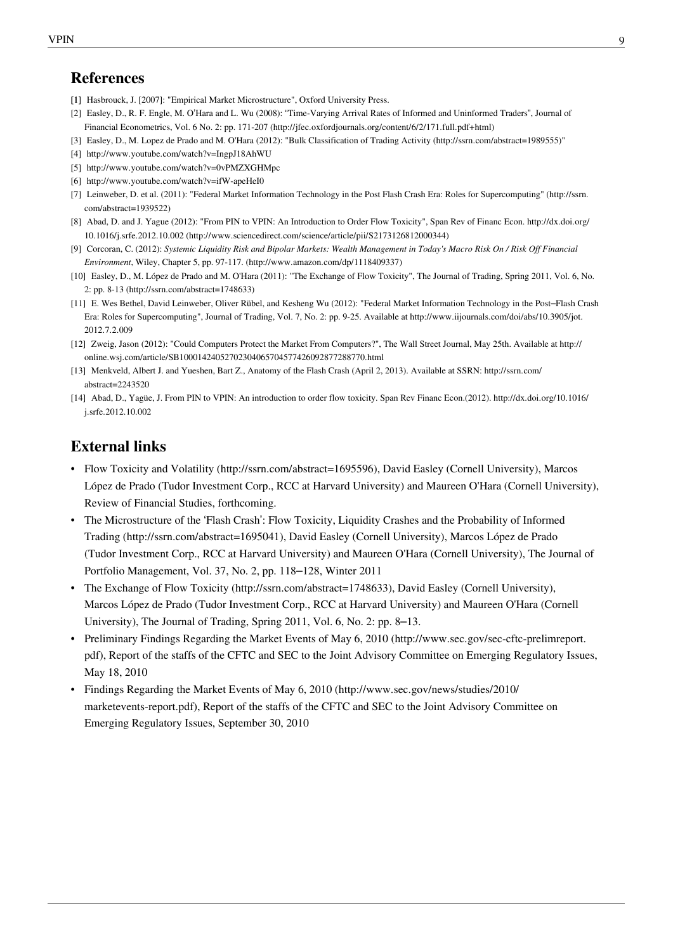- [1] Hasbrouck, J. [2007]: "Empirical Market Microstructure", Oxford University Press.
- [2] Easley, D., R. F. Engle, M. O'Hara and L. Wu (2008): "Time-Varying Arrival Rates of Informed and Uninformed Traders", Journal of Financial Econometrics, Vol. 6 No. 2: pp. 171-207 [\(http://jfec.oxfordjournals.org/content/6/2/171.full.pdf+html\)](http://jfec.oxfordjournals.org/content/6/2/171.full.pdf+html)
- [3] Easley, D., M. Lopez de Prado and M. O'Hara (2012): "Bulk Classification of Trading Activity [\(http://ssrn.com/abstract=1989555\)"](http://ssrn.com/abstract=1989555)
- [4] <http://www.youtube.com/watch?v=IngpJ18AhWU>
- [5] <http://www.youtube.com/watch?v=0vPMZXGHMpc>
- [6] <http://www.youtube.com/watch?v=ifW-apeHeI0>
- [7] Leinweber, D. et al. (2011): "Federal Market Information Technology in the Post Flash Crash Era: Roles for Supercomputing" [\(http://ssrn.](http://ssrn.com/abstract=1939522) [com/abstract=1939522\)](http://ssrn.com/abstract=1939522)
- [8] Abad, D. and J. Yague (2012): "From PIN to VPIN: An Introduction to Order Flow Toxicity", Span Rev of Financ Econ. [http://dx.doi.org/](http://dx.doi.org/10.1016/j.srfe.2012.10.002) [10.1016/j.srfe.2012.10.002](http://dx.doi.org/10.1016/j.srfe.2012.10.002) [\(http://www.sciencedirect.com/science/article/pii/S2173126812000344\)](http://www.sciencedirect.com/science/article/pii/S2173126812000344)
- [9] Corcoran, C. (2012): *Systemic Liquidity Risk and Bipolar Markets: Wealth Management in Today's Macro Risk On / Risk Off Financial Environment*, Wiley, Chapter 5, pp. 97-117. [\(http://www.amazon.com/dp/1118409337\)](http://www.amazon.com/dp/1118409337)
- [10] Easley, D., M. López de Prado and M. O'Hara (2011): "The Exchange of Flow Toxicity", The Journal of Trading, Spring 2011, Vol. 6, No. 2: pp. 8-13 [\(http://ssrn.com/abstract=1748633\)](http://ssrn.com/abstract=1748633)
- [11] E. Wes Bethel, David Leinweber, Oliver Rübel, and Kesheng Wu (2012): "Federal Market Information Technology in the Post–Flash Crash Era: Roles for Supercomputing", Journal of Trading, Vol. 7, No. 2: pp. 9-25. Available at [http://www.iijournals.com/doi/abs/10.3905/jot.](http://www.iijournals.com/doi/abs/10.3905/jot.2012.7.2.009) [2012.7.2.009](http://www.iijournals.com/doi/abs/10.3905/jot.2012.7.2.009)
- [12] Zweig, Jason (2012): "Could Computers Protect the Market From Computers?", The Wall Street Journal, May 25th. Available at [http://](http://online.wsj.com/article/SB10001424052702304065704577426092877288770.html) [online.wsj.com/article/SB10001424052702304065704577426092877288770.html](http://online.wsj.com/article/SB10001424052702304065704577426092877288770.html)
- [13] Menkveld, Albert J. and Yueshen, Bart Z., Anatomy of the Flash Crash (April 2, 2013). Available at SSRN: [http://ssrn.com/](http://ssrn.com/abstract=2243520) [abstract=2243520](http://ssrn.com/abstract=2243520)
- [14] Abad, D., Yagüe, J. From PIN to VPIN: An introduction to order flow toxicity. Span Rev Financ Econ.(2012). [http://dx.doi.org/10.1016/](http://dx.doi.org/10.1016/j.srfe.2012.10.002) [j.srfe.2012.10.002](http://dx.doi.org/10.1016/j.srfe.2012.10.002)

## **External links**

- Flow Toxicity and Volatility [\(http://ssrn.com/abstract=1695596\),](http://ssrn.com/abstract=1695596) David Easley (Cornell University), Marcos López de Prado (Tudor Investment Corp., RCC at Harvard University) and Maureen O'Hara (Cornell University), Review of Financial Studies, forthcoming.
- The Microstructure of the 'Flash Crash': Flow Toxicity, Liquidity Crashes and the Probability of Informed Trading [\(http://ssrn.com/abstract=1695041\),](http://ssrn.com/abstract=1695041) David Easley (Cornell University), Marcos López de Prado (Tudor Investment Corp., RCC at Harvard University) and Maureen O'Hara (Cornell University), The Journal of Portfolio Management, Vol. 37, No. 2, pp. 118–128, Winter 2011
- The Exchange of Flow Toxicity [\(http://ssrn.com/abstract=1748633\),](http://ssrn.com/abstract=1748633) David Easley (Cornell University), Marcos López de Prado (Tudor Investment Corp., RCC at Harvard University) and Maureen O'Hara (Cornell University), The Journal of Trading, Spring 2011, Vol. 6, No. 2: pp. 8–13.
- Preliminary Findings Regarding the Market Events of May 6, 2010 [\(http://www.sec.gov/sec-cftc-prelimreport.](http://www.sec.gov/sec-cftc-prelimreport.pdf) [pdf\)](http://www.sec.gov/sec-cftc-prelimreport.pdf), Report of the staffs of the CFTC and SEC to the Joint Advisory Committee on Emerging Regulatory Issues, May 18, 2010
- Findings Regarding the Market Events of May 6, 2010 [\(http://www.sec.gov/news/studies/2010/](http://www.sec.gov/news/studies/2010/marketevents-report.pdf) [marketevents-report.pdf\),](http://www.sec.gov/news/studies/2010/marketevents-report.pdf) Report of the staffs of the CFTC and SEC to the Joint Advisory Committee on Emerging Regulatory Issues, September 30, 2010